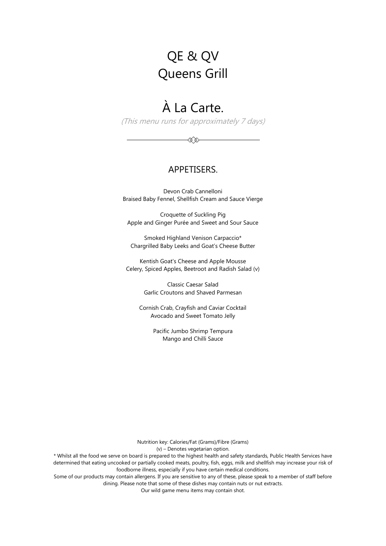# QE & QV Queens Grill

# À La Carte.

(This menu runs for approximately 7 days)

≪≫

#### APPETISERS.

Devon Crab Cannelloni Braised Baby Fennel, Shellfish Cream and Sauce Vierge

Croquette of Suckling Pig Apple and Ginger Purée and Sweet and Sour Sauce

Smoked Highland Venison Carpaccio\* Chargrilled Baby Leeks and Goat's Cheese Butter

Kentish Goat's Cheese and Apple Mousse Celery, Spiced Apples, Beetroot and Radish Salad (v)

> Classic Caesar Salad Garlic Croutons and Shaved Parmesan

Cornish Crab, Crayfish and Caviar Cocktail Avocado and Sweet Tomato Jelly

> Pacific Jumbo Shrimp Tempura Mango and Chilli Sauce

Nutrition key: Calories/Fat (Grams)/Fibre (Grams)

(v) – Denotes vegetarian option.

\* Whilst all the food we serve on board is prepared to the highest health and safety standards, Public Health Services have determined that eating uncooked or partially cooked meats, poultry, fish, eggs, milk and shellfish may increase your risk of foodborne illness, especially if you have certain medical conditions.

Some of our products may contain allergens. If you are sensitive to any of these, please speak to a member of staff before dining. Please note that some of these dishes may contain nuts or nut extracts.

Our wild game menu items may contain shot.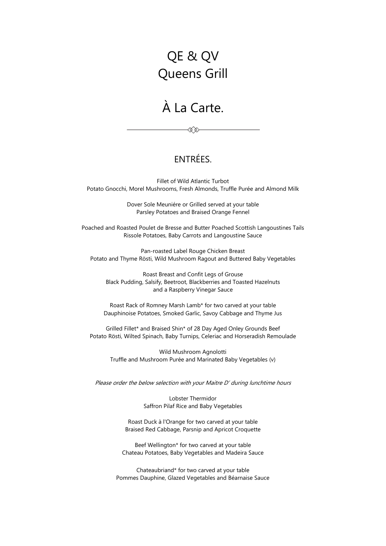# QE & QV Queens Grill

### À La Carte.

≪≫

### ENTRÉES.

Fillet of Wild Atlantic Turbot Potato Gnocchi, Morel Mushrooms, Fresh Almonds, Truffle Purée and Almond Milk

> Dover Sole Meuniére or Grilled served at your table Parsley Potatoes and Braised Orange Fennel

Poached and Roasted Poulet de Bresse and Butter Poached Scottish Langoustines Tails Rissole Potatoes, Baby Carrots and Langoustine Sauce

Pan-roasted Label Rouge Chicken Breast Potato and Thyme Rösti, Wild Mushroom Ragout and Buttered Baby Vegetables

Roast Breast and Confit Legs of Grouse Black Pudding, Salsify, Beetroot, Blackberries and Toasted Hazelnuts and a Raspberry Vinegar Sauce

Roast Rack of Romney Marsh Lamb\* for two carved at your table Dauphinoise Potatoes, Smoked Garlic, Savoy Cabbage and Thyme Jus

Grilled Fillet\* and Braised Shin\* of 28 Day Aged Onley Grounds Beef Potato Rösti, Wilted Spinach, Baby Turnips, Celeriac and Horseradish Remoulade

Wild Mushroom Agnolotti Truffle and Mushroom Purée and Marinated Baby Vegetables (v)

Please order the below selection with your Maitre D' during lunchtime hours

Lobster Thermidor Saffron Pilaf Rice and Baby Vegetables

Roast Duck à l'Orange for two carved at your table Braised Red Cabbage, Parsnip and Apricot Croquette

Beef Wellington\* for two carved at your table Chateau Potatoes, Baby Vegetables and Madeira Sauce

Chateaubriand\* for two carved at your table Pommes Dauphine, Glazed Vegetables and Béarnaise Sauce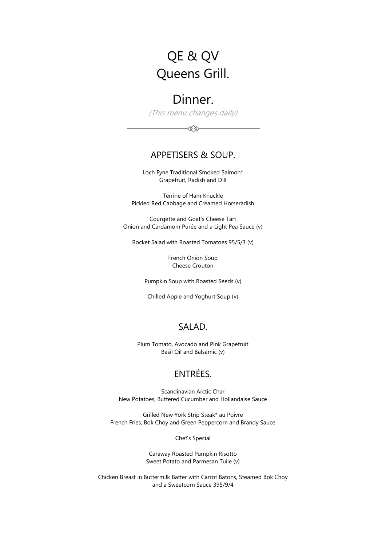# QE & QV Queens Grill.

# Dinner.

(This menu changes daily)

≪≫

### APPETISERS & SOUP.

Loch Fyne Traditional Smoked Salmon\* Grapefruit, Radish and Dill

Terrine of Ham Knuckle Pickled Red Cabbage and Creamed Horseradish

Courgette and Goat's Cheese Tart Onion and Cardamom Purée and a Light Pea Sauce (v)

Rocket Salad with Roasted Tomatoes 95/5/3 (v)

French Onion Soup Cheese Crouton

Pumpkin Soup with Roasted Seeds (v)

Chilled Apple and Yoghurt Soup (v)

#### SALAD.

Plum Tomato, Avocado and Pink Grapefruit Basil Oil and Balsamic (v)

### ENTRÉES.

Scandinavian Arctic Char New Potatoes, Buttered Cucumber and Hollandaise Sauce

Grilled New York Strip Steak\* au Poivre French Fries, Bok Choy and Green Peppercorn and Brandy Sauce

Chef's Special

Caraway Roasted Pumpkin Risotto Sweet Potato and Parmesan Tuile (v)

Chicken Breast in Buttermilk Batter with Carrot Batons, Steamed Bok Choy and a Sweetcorn Sauce 395/9/4